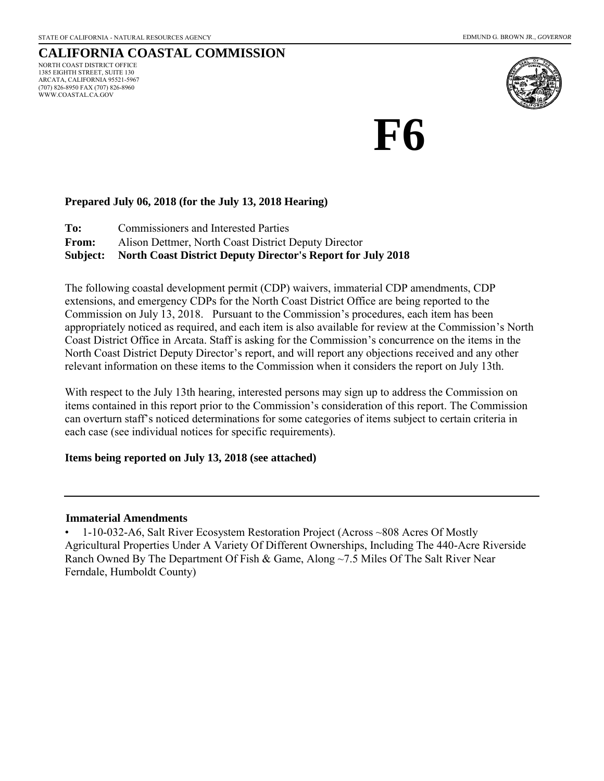### **CALIFORNIA COASTAL COMMISSION** NORTH COAST DISTRICT OFFICE 1385 EIGHTH STREET, SUITE 130 ARCATA, CALIFORNIA 95521-5967

(707) 826-8950 FAX (707) 826-8960 WWW.COASTAL.CA.GOV



# **F6**

### **Prepared July 06, 2018 (for the July 13, 2018 Hearing)**

**To:** Commissioners and Interested Parties **From:** Alison Dettmer, North Coast District Deputy Director **Subject: North Coast District Deputy Director's Report for July 2018** 

The following coastal development permit (CDP) waivers, immaterial CDP amendments, CDP extensions, and emergency CDPs for the North Coast District Office are being reported to the Commission on July 13, 2018. Pursuant to the Commission's procedures, each item has been appropriately noticed as required, and each item is also available for review at the Commission's North Coast District Office in Arcata. Staff is asking for the Commission's concurrence on the items in the North Coast District Deputy Director's report, and will report any objections received and any other relevant information on these items to the Commission when it considers the report on July 13th.

With respect to the July 13th hearing, interested persons may sign up to address the Commission on items contained in this report prior to the Commission's consideration of this report. The Commission can overturn staff's noticed determinations for some categories of items subject to certain criteria in each case (see individual notices for specific requirements).

### **Items being reported on July 13, 2018 (see attached)**

### **Immaterial Amendments**

• 1-10-032-A6, Salt River Ecosystem Restoration Project (Across ~808 Acres Of Mostly Agricultural Properties Under A Variety Of Different Ownerships, Including The 440-Acre Riverside Ranch Owned By The Department Of Fish & Game, Along ~7.5 Miles Of The Salt River Near Ferndale, Humboldt County)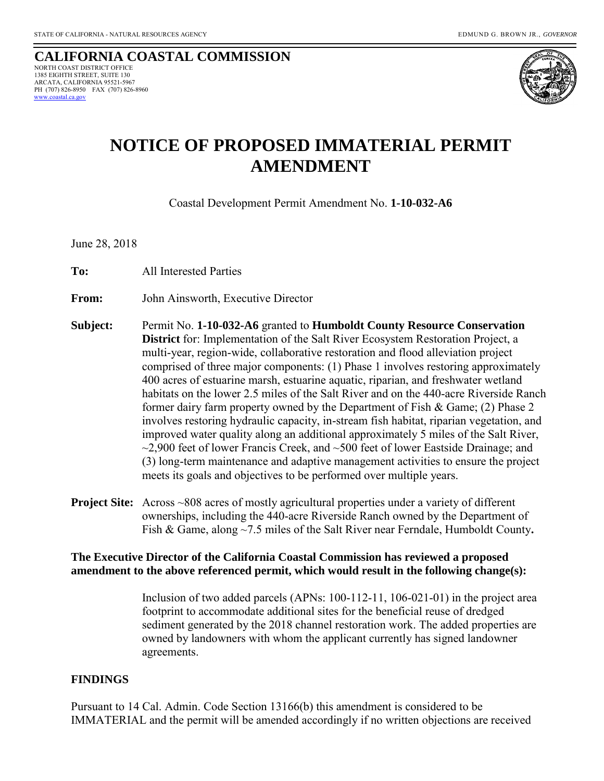#### **CALIFORNIA COASTAL COMMISSION**  NORTH COAST DISTRICT OFFICE 1385 EIGHTH STREET, SUITE 130 ARCATA, CALIFORNIA 95521-5967 PH (707) 826-8950 FAX (707) 826-8960 coastal.ca.gov



# **NOTICE OF PROPOSED IMMATERIAL PERMIT AMENDMENT**

Coastal Development Permit Amendment No. **1-10-032-A6**

June 28, 2018

**To:**All Interested Parties

**From:** John Ainsworth, Executive Director

- **Subject:** Permit No. **1-10-032-A6** granted to **Humboldt County Resource Conservation District** for: Implementation of the Salt River Ecosystem Restoration Project, a multi-year, region-wide, collaborative restoration and flood alleviation project comprised of three major components: (1) Phase 1 involves restoring approximately 400 acres of estuarine marsh, estuarine aquatic, riparian, and freshwater wetland habitats on the lower 2.5 miles of the Salt River and on the 440-acre Riverside Ranch former dairy farm property owned by the Department of Fish & Game; (2) Phase 2 involves restoring hydraulic capacity, in-stream fish habitat, riparian vegetation, and improved water quality along an additional approximately 5 miles of the Salt River,  $\sim$ 2,900 feet of lower Francis Creek, and  $\sim$ 500 feet of lower Eastside Drainage; and (3) long-term maintenance and adaptive management activities to ensure the project meets its goals and objectives to be performed over multiple years.
- **Project Site:** Across ~808 acres of mostly agricultural properties under a variety of different ownerships, including the 440-acre Riverside Ranch owned by the Department of Fish & Game, along ~7.5 miles of the Salt River near Ferndale, Humboldt County**.**

### **The Executive Director of the California Coastal Commission has reviewed a proposed amendment to the above referenced permit, which would result in the following change(s):**

 Inclusion of two added parcels (APNs: 100-112-11, 106-021-01) in the project area footprint to accommodate additional sites for the beneficial reuse of dredged sediment generated by the 2018 channel restoration work. The added properties are owned by landowners with whom the applicant currently has signed landowner agreements.

### **FINDINGS**

Pursuant to 14 Cal. Admin. Code Section 13166(b) this amendment is considered to be IMMATERIAL and the permit will be amended accordingly if no written objections are received